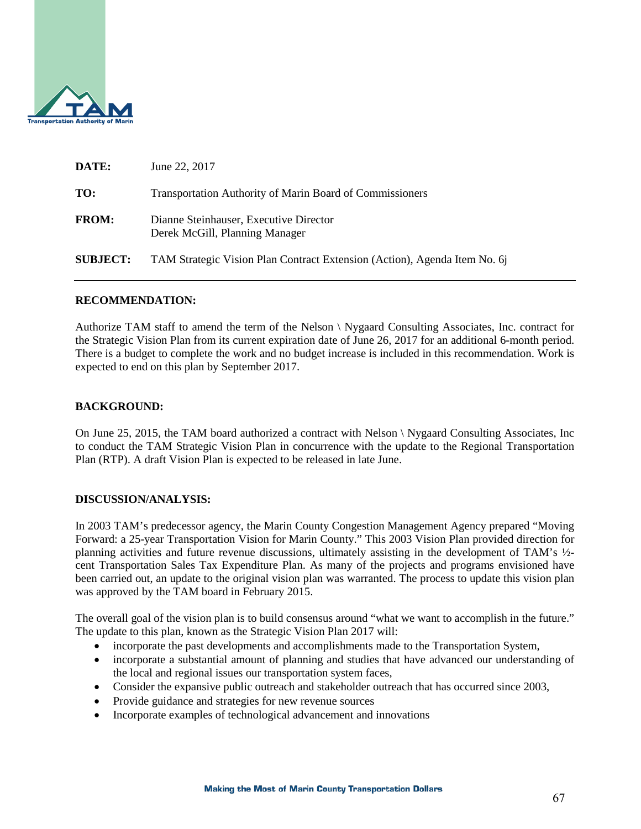

| DATE:           | June 22, 2017                                                             |
|-----------------|---------------------------------------------------------------------------|
| TO:             | <b>Transportation Authority of Marin Board of Commissioners</b>           |
| <b>FROM:</b>    | Dianne Steinhauser, Executive Director<br>Derek McGill, Planning Manager  |
| <b>SUBJECT:</b> | TAM Strategic Vision Plan Contract Extension (Action), Agenda Item No. 6. |
|                 |                                                                           |

### **RECOMMENDATION:**

Authorize TAM staff to amend the term of the Nelson \ Nygaard Consulting Associates, Inc. contract for the Strategic Vision Plan from its current expiration date of June 26, 2017 for an additional 6-month period. There is a budget to complete the work and no budget increase is included in this recommendation. Work is expected to end on this plan by September 2017.

### **BACKGROUND:**

On June 25, 2015, the TAM board authorized a contract with Nelson \ Nygaard Consulting Associates, Inc to conduct the TAM Strategic Vision Plan in concurrence with the update to the Regional Transportation Plan (RTP). A draft Vision Plan is expected to be released in late June.

### **DISCUSSION/ANALYSIS:**

In 2003 TAM's predecessor agency, the Marin County Congestion Management Agency prepared "Moving Forward: a 25-year Transportation Vision for Marin County." This 2003 Vision Plan provided direction for planning activities and future revenue discussions, ultimately assisting in the development of TAM's ½ cent Transportation Sales Tax Expenditure Plan. As many of the projects and programs envisioned have been carried out, an update to the original vision plan was warranted. The process to update this vision plan was approved by the TAM board in February 2015.

The overall goal of the vision plan is to build consensus around "what we want to accomplish in the future." The update to this plan, known as the Strategic Vision Plan 2017 will:

- incorporate the past developments and accomplishments made to the Transportation System,
- incorporate a substantial amount of planning and studies that have advanced our understanding of the local and regional issues our transportation system faces,
- Consider the expansive public outreach and stakeholder outreach that has occurred since 2003,
- Provide guidance and strategies for new revenue sources
- Incorporate examples of technological advancement and innovations